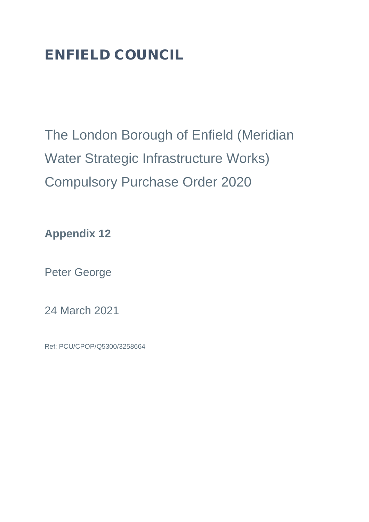# ENFIELD COUNCIL

The London Borough of Enfield (Meridian Water Strategic Infrastructure Works) Compulsory Purchase Order 2020

**Appendix 12**

Peter George

24 March 2021

Ref: PCU/CPOP/Q5300/3258664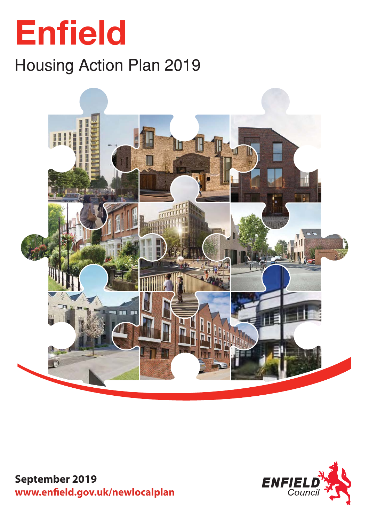# **Enfield**

# Housing Action Plan 2019



**September 2019** www.enfield.gov.uk/newlocalplan

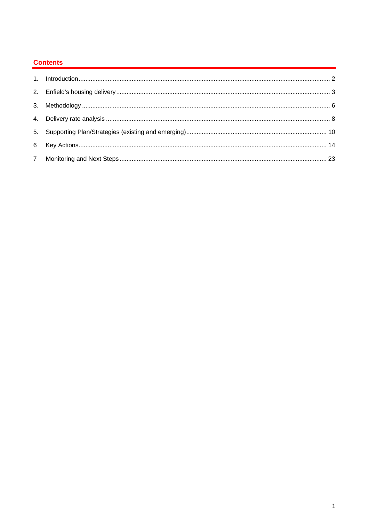# **Contents**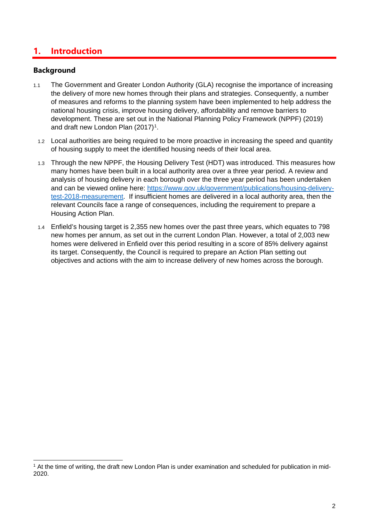# <span id="page-3-0"></span>**1. Introduction**

#### **Background**

- 1.1 The Government and Greater London Authority (GLA) recognise the importance of increasing the delivery of more new homes through their plans and strategies. Consequently, a number of measures and reforms to the planning system have been implemented to help address the national housing crisis, improve housing delivery, affordability and remove barriers to development. These are set out in the National Planning Policy Framework (NPPF) (2019) and draft new London Plan (2017)<sup>1</sup>.
	- 1.2 Local authorities are being required to be more proactive in increasing the speed and quantity of housing supply to meet the identified housing needs of their local area.
	- 1.3 Through the new NPPF, the Housing Delivery Test (HDT) was introduced. This measures how many homes have been built in a local authority area over a three year period. A review and analysis of housing delivery in each borough over the three year period has been undertaken and can be viewed online here: [https://www.gov.uk/government/publications/housing-delivery](https://www.gov.uk/government/publications/housing-delivery-test-2018-measurement)[test-2018-measurement.](https://www.gov.uk/government/publications/housing-delivery-test-2018-measurement) If insufficient homes are delivered in a local authority area, then the relevant Councils face a range of consequences, including the requirement to prepare a Housing Action Plan.
	- 1.4 Enfield's housing target is 2,355 new homes over the past three years, which equates to 798 new homes per annum, as set out in the current London Plan. However, a total of 2,003 new homes were delivered in Enfield over this period resulting in a score of 85% delivery against its target. Consequently, the Council is required to prepare an Action Plan setting out objectives and actions with the aim to increase delivery of new homes across the borough.

<span id="page-3-1"></span> $1$  At the time of writing, the draft new London Plan is under examination and scheduled for publication in mid-2020.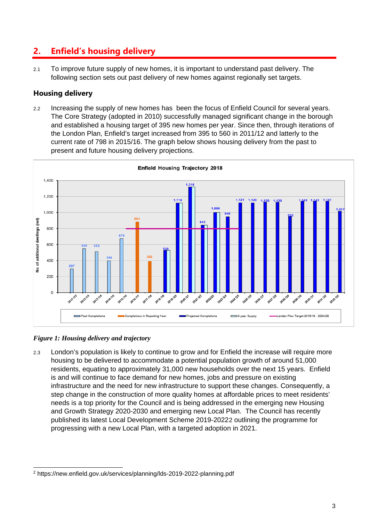# <span id="page-4-0"></span>**2. Enfield's housing delivery**

2.1 To improve future supply of new homes, it is important to understand past delivery. The following section sets out past delivery of new homes against regionally set targets.

# **Housing delivery**

2.2 Increasing the supply of new homes has been the focus of Enfield Council for several years. The Core Strategy (adopted in 2010) successfully managed significant change in the borough and established a housing target of 395 new homes per year. Since then, through iterations of the London Plan, Enfield's target increased from 395 to 560 in 2011/12 and latterly to the current rate of 798 in 2015/16. The graph below shows housing delivery from the past to present and future housing delivery projections.



*Figure 1: Housing delivery and trajectory* 

2.3 London's population is likely to continue to grow and for Enfield the increase will require more housing to be delivered to accommodate a potential population growth of around 51,000 residents, equating to approximately 31,000 new households over the next 15 years. Enfield is and will continue to face demand for new homes, jobs and pressure on existing infrastructure and the need for new infrastructure to support these changes. Consequently, a step change in the construction of more quality homes at affordable prices to meet residents' needs is a top priority for the Council and is being addressed in the emerging new Housing and Growth Strategy 2020-2030 and emerging new Local Plan. The Council has recently published its latest Local Development Scheme 2019-2022[2](#page-4-1) outlining the programme for progressing with a new Local Plan, with a targeted adoption in 2021.

<span id="page-4-1"></span><sup>2</sup> https://new.enfield.gov.uk/services/planning/lds-2019-2022-planning.pdf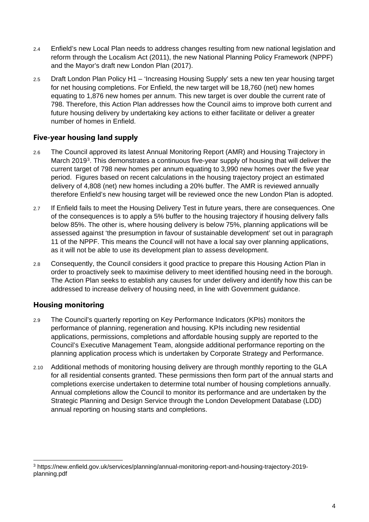- 2.4 Enfield's new Local Plan needs to address changes resulting from new national legislation and reform through the Localism Act (2011), the new National Planning Policy Framework (NPPF) and the Mayor's draft new London Plan (2017).
- 2.5 Draft London Plan Policy H1 'Increasing Housing Supply' sets a new ten year housing target for net housing completions. For Enfield, the new target will be 18,760 (net) new homes equating to 1,876 new homes per annum. This new target is over double the current rate of 798. Therefore, this Action Plan addresses how the Council aims to improve both current and future housing delivery by undertaking key actions to either facilitate or deliver a greater number of homes in Enfield.

# **Five-year housing land supply**

- 2.6 The Council approved its latest Annual Monitoring Report (AMR) and Housing Trajectory in March 2019[3.](#page-5-0) This demonstrates a continuous five-year supply of housing that will deliver the current target of 798 new homes per annum equating to 3,990 new homes over the five year period. Figures based on recent calculations in the housing trajectory project an estimated delivery of 4,808 (net) new homes including a 20% buffer. The AMR is reviewed annually therefore Enfield's new housing target will be reviewed once the new London Plan is adopted.
- 2.7 If Enfield fails to meet the Housing Delivery Test in future vears, there are consequences. One of the consequences is to apply a 5% buffer to the housing trajectory if housing delivery falls below 85%. The other is, where housing delivery is below 75%, planning applications will be assessed against 'the presumption in favour of sustainable development' set out in paragraph 11 of the NPPF. This means the Council will not have a local say over planning applications, as it will not be able to use its development plan to assess development.
- 2.8 Consequently, the Council considers it good practice to prepare this Housing Action Plan in order to proactively seek to maximise delivery to meet identified housing need in the borough. The Action Plan seeks to establish any causes for under delivery and identify how this can be addressed to increase delivery of housing need, in line with Government guidance.

# **Housing monitoring**

- 2.9 The Council's quarterly reporting on Key Performance Indicators (KPIs) monitors the performance of planning, regeneration and housing. KPIs including new residential applications, permissions, completions and affordable housing supply are reported to the Council's Executive Management Team, alongside additional performance reporting on the planning application process which is undertaken by Corporate Strategy and Performance.
- 2.10 Additional methods of monitoring housing delivery are through monthly reporting to the GLA for all residential consents granted. These permissions then form part of the annual starts and completions exercise undertaken to determine total number of housing completions annually. Annual completions allow the Council to monitor its performance and are undertaken by the Strategic Planning and Design Service through the London Development Database (LDD) annual reporting on housing starts and completions.

<span id="page-5-0"></span><sup>3</sup> [https://new.enfield.gov.uk/services/planning/annual-monitoring-report-and-housing-trajectory-2019](https://new.enfield.gov.uk/services/planning/annual-monitoring-report-and-housing-trajectory-2019-planning.pdf) [planning.pdf](https://new.enfield.gov.uk/services/planning/annual-monitoring-report-and-housing-trajectory-2019-planning.pdf)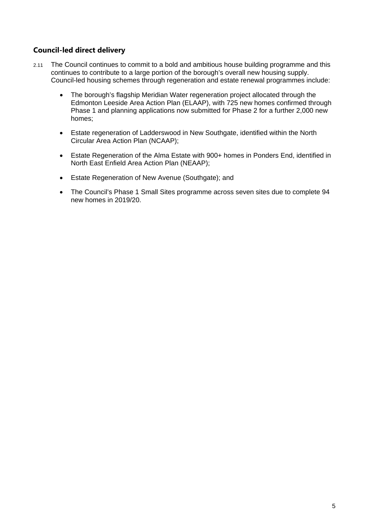# **Council-led direct delivery**

- 2.11 The Council continues to commit to a bold and ambitious house building programme and this continues to contribute to a large portion of the borough's overall new housing supply. Council-led housing schemes through regeneration and estate renewal programmes include:
	- The borough's flagship Meridian Water regeneration project allocated through the Edmonton Leeside Area Action Plan (ELAAP), with 725 new homes confirmed through Phase 1 and planning applications now submitted for Phase 2 for a further 2,000 new homes;
	- Estate regeneration of Ladderswood in New Southgate, identified within the North Circular Area Action Plan (NCAAP);
	- Estate Regeneration of the Alma Estate with 900+ homes in Ponders End, identified in North East Enfield Area Action Plan (NEAAP);
	- Estate Regeneration of New Avenue (Southgate); and
	- The Council's Phase 1 Small Sites programme across seven sites due to complete 94 new homes in 2019/20.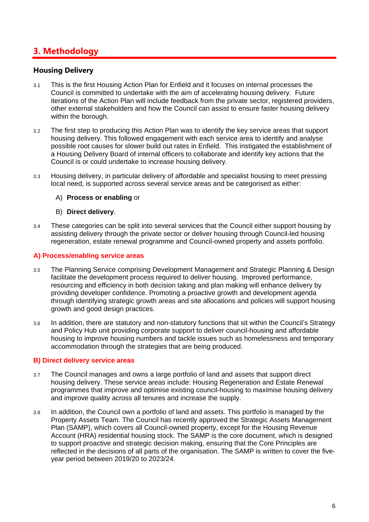# <span id="page-7-0"></span>**3. Methodology**

#### **Housing Delivery**

- 3.1 This is the first Housing Action Plan for Enfield and it focuses on internal processes the Council is committed to undertake with the aim of accelerating housing delivery. Future iterations of the Action Plan will include feedback from the private sector, registered providers, other external stakeholders and how the Council can assist to ensure faster housing delivery within the borough.
- 3.2 The first step to producing this Action Plan was to identify the key service areas that support housing delivery. This followed engagement with each service area to identify and analyse possible root causes for slower build out rates in Enfield. This instigated the establishment of a Housing Delivery Board of internal officers to collaborate and identify key actions that the Council is or could undertake to increase housing delivery.
- 3.3 Housing delivery, in particular delivery of affordable and specialist housing to meet pressing local need, is supported across several service areas and be categorised as either:

#### A) **Process or enabling** or

#### B) **Direct delivery**.

3.4 These categories can be split into several services that the Council either support housing by assisting delivery through the private sector or deliver housing through Council-led housing regeneration, estate renewal programme and Council-owned property and assets portfolio.

#### **A) Process/enabling service areas**

- 3.5 The Planning Service comprising Development Management and Strategic Planning & Design facilitate the development process required to deliver housing. Improved performance, resourcing and efficiency in both decision taking and plan making will enhance delivery by providing developer confidence. Promoting a proactive growth and development agenda through identifying strategic growth areas and site allocations and policies will support housing growth and good design practices.
- 3.6 In addition, there are statutory and non-statutory functions that sit within the Council's Strategy and Policy Hub unit providing corporate support to deliver council-housing and affordable housing to improve housing numbers and tackle issues such as homelessness and temporary accommodation through the strategies that are being produced.

#### **B) Direct delivery service areas**

- 3.7 The Council manages and owns a large portfolio of land and assets that support direct housing delivery. These service areas include: Housing Regeneration and Estate Renewal programmes that improve and optimise existing council-housing to maximise housing delivery and improve quality across all tenures and increase the supply.
- 3.8 In addition, the Council own a portfolio of land and assets. This portfolio is managed by the Property Assets Team. The Council has recently approved the Strategic Assets Management Plan (SAMP), which covers all Council-owned property, except for the Housing Revenue Account (HRA) residential housing stock. The SAMP is the core document, which is designed to support proactive and strategic decision making, ensuring that the Core Principles are reflected in the decisions of all parts of the organisation. The SAMP is written to cover the fiveyear period between 2019/20 to 2023/24.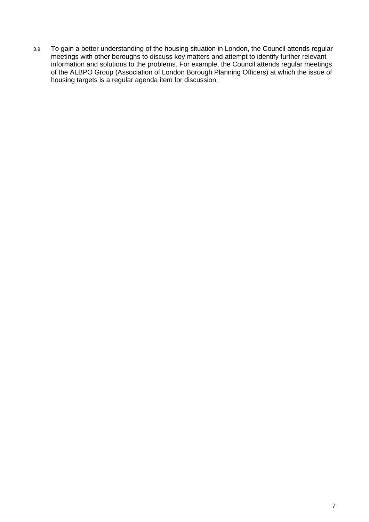3.9 To gain a better understanding of the housing situation in London, the Council attends regular meetings with other boroughs to discuss key matters and attempt to identify further relevant information and solutions to the problems. For example, the Council attends regular meetings of the ALBPO Group (Association of London Borough Planning Officers) at which the issue of housing targets is a regular agenda item for discussion.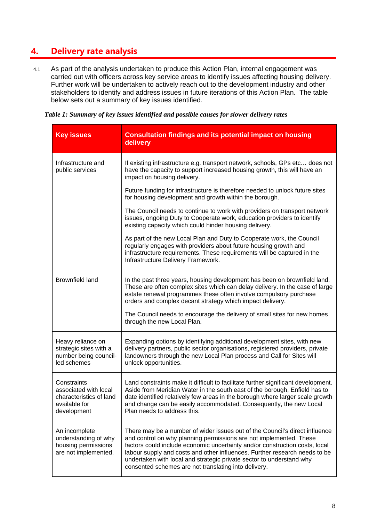# <span id="page-9-0"></span>**4. Delivery rate analysis**

4.1 As part of the analysis undertaken to produce this Action Plan, internal engagement was carried out with officers across key service areas to identify issues affecting housing delivery. Further work will be undertaken to actively reach out to the development industry and other stakeholders to identify and address issues in future iterations of this Action Plan. The table below sets out a summary of key issues identified.

|  |  | Table 1: Summary of key issues identified and possible causes for slower delivery rates |
|--|--|-----------------------------------------------------------------------------------------|
|  |  |                                                                                         |

| <b>Key issues</b>                                                                               | <b>Consultation findings and its potential impact on housing</b><br>delivery                                                                                                                                                                                                                                                                                                                                                                   |
|-------------------------------------------------------------------------------------------------|------------------------------------------------------------------------------------------------------------------------------------------------------------------------------------------------------------------------------------------------------------------------------------------------------------------------------------------------------------------------------------------------------------------------------------------------|
| Infrastructure and<br>public services                                                           | If existing infrastructure e.g. transport network, schools, GPs etc does not<br>have the capacity to support increased housing growth, this will have an<br>impact on housing delivery.                                                                                                                                                                                                                                                        |
|                                                                                                 | Future funding for infrastructure is therefore needed to unlock future sites<br>for housing development and growth within the borough.                                                                                                                                                                                                                                                                                                         |
|                                                                                                 | The Council needs to continue to work with providers on transport network<br>issues, ongoing Duty to Cooperate work, education providers to identify<br>existing capacity which could hinder housing delivery.                                                                                                                                                                                                                                 |
|                                                                                                 | As part of the new Local Plan and Duty to Cooperate work, the Council<br>regularly engages with providers about future housing growth and<br>infrastructure requirements. These requirements will be captured in the<br>Infrastructure Delivery Framework.                                                                                                                                                                                     |
| <b>Brownfield land</b>                                                                          | In the past three years, housing development has been on brownfield land.<br>These are often complex sites which can delay delivery. In the case of large<br>estate renewal programmes these often involve compulsory purchase<br>orders and complex decant strategy which impact delivery.                                                                                                                                                    |
|                                                                                                 | The Council needs to encourage the delivery of small sites for new homes<br>through the new Local Plan.                                                                                                                                                                                                                                                                                                                                        |
| Heavy reliance on<br>strategic sites with a<br>number being council-<br>led schemes             | Expanding options by identifying additional development sites, with new<br>delivery partners, public sector organisations, registered providers, private<br>landowners through the new Local Plan process and Call for Sites will<br>unlock opportunities.                                                                                                                                                                                     |
| Constraints<br>associated with local<br>characteristics of land<br>available for<br>development | Land constraints make it difficult to facilitate further significant development.<br>Aside from Meridian Water in the south east of the borough, Enfield has to<br>date identified relatively few areas in the borough where larger scale growth<br>and change can be easily accommodated. Consequently, the new Local<br>Plan needs to address this.                                                                                          |
| An incomplete<br>understanding of why<br>housing permissions<br>are not implemented.            | There may be a number of wider issues out of the Council's direct influence<br>and control on why planning permissions are not implemented. These<br>factors could include economic uncertainty and/or construction costs, local<br>labour supply and costs and other influences. Further research needs to be<br>undertaken with local and strategic private sector to understand why<br>consented schemes are not translating into delivery. |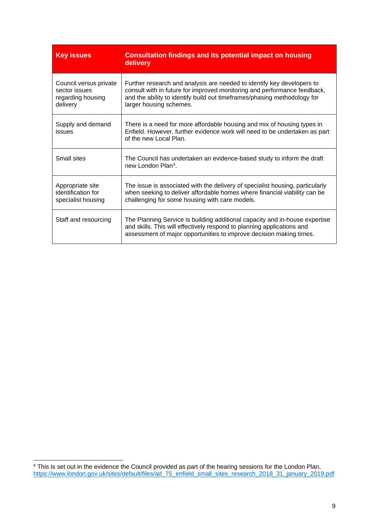| <b>Key issues</b>                                                        | <b>Consultation findings and its potential impact on housing</b><br>delivery                                                                                                                                                                              |
|--------------------------------------------------------------------------|-----------------------------------------------------------------------------------------------------------------------------------------------------------------------------------------------------------------------------------------------------------|
| Council versus private<br>sector issues<br>regarding housing<br>delivery | Further research and analysis are needed to identify key developers to<br>consult with in future for improved monitoring and performance feedback,<br>and the ability to identify build out timeframes/phasing methodology for<br>larger housing schemes. |
| Supply and demand<br>issues                                              | There is a need for more affordable housing and mix of housing types in<br>Enfield. However, further evidence work will need to be undertaken as part<br>of the new Local Plan.                                                                           |
| <b>Small sites</b>                                                       | The Council has undertaken an evidence-based study to inform the draft<br>new London Plan <sup>4</sup> .                                                                                                                                                  |
| Appropriate site<br>identification for<br>specialist housing             | The issue is associated with the delivery of specialist housing, particularly<br>when seeking to deliver affordable homes where financial viability can be<br>challenging for some housing with care models.                                              |
| Staff and resourcing                                                     | The Planning Service is building additional capacity and in-house expertise<br>and skills. This will effectively respond to planning applications and<br>assessment of major opportunities to improve decision making times.                              |

<span id="page-10-0"></span> $4$  This is set out in the evidence the Council provided as part of the hearing sessions for the London Plan, [https://www.london.gov.uk/sites/default/files/ad\\_75\\_enfield\\_small\\_sites\\_research\\_2018\\_31\\_january\\_2019.pdf](https://www.london.gov.uk/sites/default/files/ad_75_enfield_small_sites_research_2018_31_january_2019.pdf)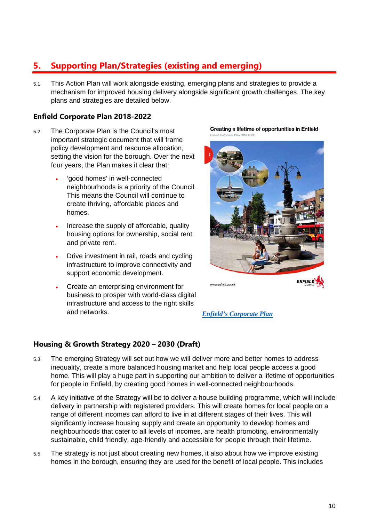# <span id="page-11-0"></span>**5. Supporting Plan/Strategies (existing and emerging)**

5.1 This Action Plan will work alongside existing, emerging plans and strategies to provide a mechanism for improved housing delivery alongside significant growth challenges. The key plans and strategies are detailed below.

# **Enfield Corporate Plan 2018-2022**

- 5.2 The Corporate Plan is the Council's most important strategic document that will frame policy development and resource allocation, setting the vision for the borough. Over the next four years, the Plan makes it clear that:
	- 'good homes' in well-connected neighbourhoods is a priority of the Council. This means the Council will continue to create thriving, affordable places and homes.
	- Increase the supply of affordable, quality housing options for ownership, social rent and private rent.
	- Drive investment in rail, roads and cycling infrastructure to improve connectivity and support economic development.
	- Create an enterprising environment for business to prosper with world-class digital infrastructure and access to the right skills and networks.

Creating a lifetime of opportunities in Enfield



*[Enfield's Corporate Plan](https://new.enfield.gov.uk/services/your-council/enfield-corporate-plan-your-council.pdf)*

#### **Housing & Growth Strategy 2020 – 2030 (Draft)**

- 5.3 The emerging Strategy will set out how we will deliver more and better homes to address inequality, create a more balanced housing market and help local people access a good home. This will play a huge part in supporting our ambition to deliver a lifetime of opportunities for people in Enfield, by creating good homes in well-connected neighbourhoods.
- 5.4 A key initiative of the Strategy will be to deliver a house building programme, which will include delivery in partnership with registered providers. This will create homes for local people on a range of different incomes can afford to live in at different stages of their lives. This will significantly increase housing supply and create an opportunity to develop homes and neighbourhoods that cater to all levels of incomes, are health promoting, environmentally sustainable, child friendly, age-friendly and accessible for people through their lifetime.
- 5.5 The strategy is not just about creating new homes, it also about how we improve existing homes in the borough, ensuring they are used for the benefit of local people. This includes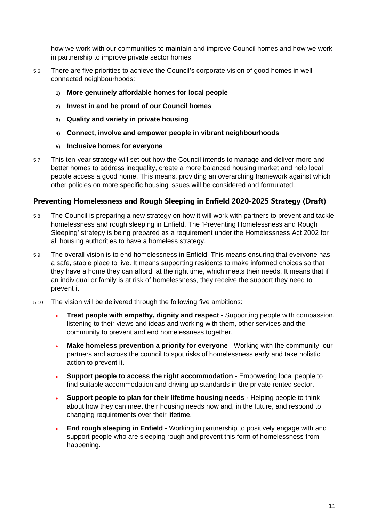how we work with our communities to maintain and improve Council homes and how we work in partnership to improve private sector homes.

- 5.6 There are five priorities to achieve the Council's corporate vision of good homes in wellconnected neighbourhoods:
	- **1) More genuinely affordable homes for local people**
	- **2) Invest in and be proud of our Council homes**
	- **3) Quality and variety in private housing**
	- **4) Connect, involve and empower people in vibrant neighbourhoods**
	- **5) Inclusive homes for everyone**
- 5.7 This ten-year strategy will set out how the Council intends to manage and deliver more and better homes to address inequality, create a more balanced housing market and help local people access a good home. This means, providing an overarching framework against which other policies on more specific housing issues will be considered and formulated.

# **Preventing Homelessness and Rough Sleeping in Enfield 2020-2025 Strategy (Draft)**

- 5.8 The Council is preparing a new strategy on how it will work with partners to prevent and tackle homelessness and rough sleeping in Enfield. The 'Preventing Homelessness and Rough Sleeping' strategy is being prepared as a requirement under the Homelessness Act 2002 for all housing authorities to have a homeless strategy.
- 5.9 The overall vision is to end homelessness in Enfield. This means ensuring that everyone has a safe, stable place to live. It means supporting residents to make informed choices so that they have a home they can afford, at the right time, which meets their needs. It means that if an individual or family is at risk of homelessness, they receive the support they need to prevent it.
- 5.10 The vision will be delivered through the following five ambitions:
	- **Treat people with empathy, dignity and respect -** Supporting people with compassion, listening to their views and ideas and working with them, other services and the community to prevent and end homelessness together.
	- **Make homeless prevention a priority for everyone** Working with the community, our partners and across the council to spot risks of homelessness early and take holistic action to prevent it.
	- **Support people to access the right accommodation -** Empowering local people to find suitable accommodation and driving up standards in the private rented sector.
	- **Support people to plan for their lifetime housing needs -** Helping people to think about how they can meet their housing needs now and, in the future, and respond to changing requirements over their lifetime.
	- **End rough sleeping in Enfield -** Working in partnership to positively engage with and support people who are sleeping rough and prevent this form of homelessness from happening.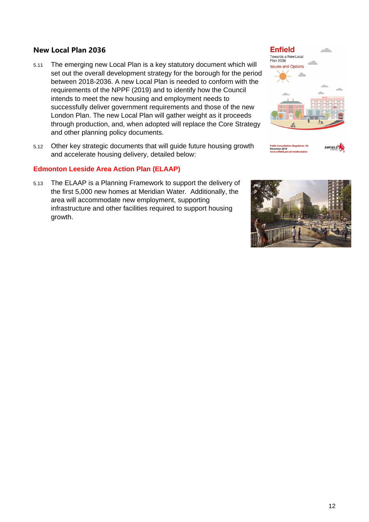#### **New Local Plan 2036**

- 5.11 The emerging new Local Plan is a key statutory document which will set out the overall development strategy for the borough for the period between 2018-2036. A new Local Plan is needed to conform with the requirements of the NPPF (2019) and to identify how the Council intends to meet the new housing and employment needs to successfully deliver government requirements and those of the new London Plan. The new Local Plan will gather weight as it proceeds through production, and, when adopted will replace the Core Strategy and other planning policy documents.
- 5.12 Other key strategic documents that will guide future housing growth and accelerate housing delivery, detailed below:

#### **Edmonton Leeside Area Action Plan (ELAAP)**

5.13 The ELAAP is a Planning Framework to support the delivery of the first 5,000 new homes at Meridian Water. Additionally, the area will accommodate new employment, supporting infrastructure and other facilities required to support housing growth.

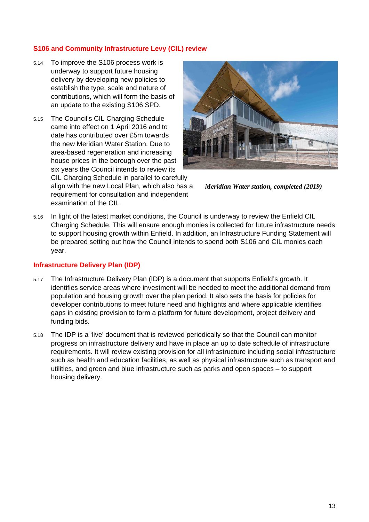#### **S106 and Community Infrastructure Levy (CIL) review**

- 5.14 To improve the S106 process work is underway to support future housing delivery by developing new policies to establish the type, scale and nature of contributions, which will form the basis of an update to the existing S106 SPD.
- 5.15 The Council's CIL Charging Schedule came into effect on 1 April 2016 and to date has contributed over £5m towards the new Meridian Water Station. Due to area-based regeneration and increasing house prices in the borough over the past six years the Council intends to review its

CIL Charging Schedule in parallel to carefully align with the new Local Plan, which also has a requirement for consultation and independent examination of the CIL.



*Meridian Water station, completed (2019)*

5.16 In light of the latest market conditions, the Council is underway to review the Enfield CIL Charging Schedule. This will ensure enough monies is collected for future infrastructure needs to support housing growth within Enfield. In addition, an Infrastructure Funding Statement will be prepared setting out how the Council intends to spend both S106 and CIL monies each year.

#### **Infrastructure Delivery Plan (IDP)**

- 5.17 The Infrastructure Delivery Plan (IDP) is a document that supports Enfield's growth. It identifies service areas where investment will be needed to meet the additional demand from population and housing growth over the plan period. It also sets the basis for policies for developer contributions to meet future need and highlights and where applicable identifies gaps in existing provision to form a platform for future development, project delivery and funding bids.
- 5.18 The IDP is a 'live' document that is reviewed periodically so that the Council can monitor progress on infrastructure delivery and have in place an up to date schedule of infrastructure requirements. It will review existing provision for all infrastructure including social infrastructure such as health and education facilities, as well as physical infrastructure such as transport and utilities, and green and blue infrastructure such as parks and open spaces – to support housing delivery.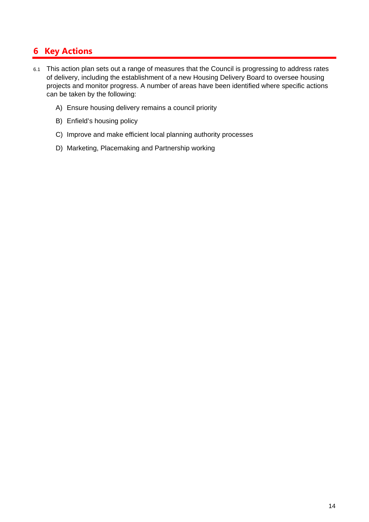# <span id="page-15-0"></span>**6 Key Actions**

- 6.1 This action plan sets out a range of measures that the Council is progressing to address rates of delivery, including the establishment of a new Housing Delivery Board to oversee housing projects and monitor progress. A number of areas have been identified where specific actions can be taken by the following:
	- A) Ensure housing delivery remains a council priority
	- B) Enfield's housing policy
	- C) Improve and make efficient local planning authority processes
	- D) Marketing, Placemaking and Partnership working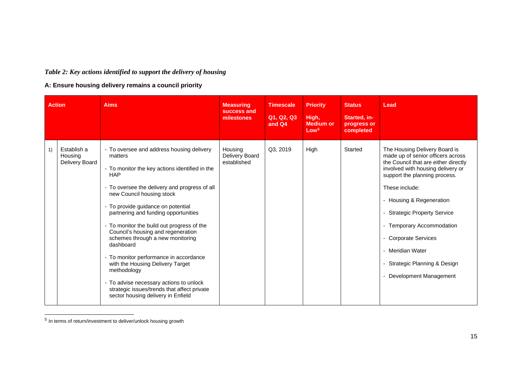# <span id="page-16-0"></span>*Table 2: Key actions identified to support the delivery of housing*

#### **A: Ensure housing delivery remains a council priority**

|    | <b>Action</b>                            | <b>Aims</b>                                                                                                                                                                                                                                                                                                                                                                                                                                                                                                                                                                                                                                                        | <b>Measuring</b><br>success and<br>milestones | <b>Timescale</b><br>Q1, Q2, Q3<br>and Q4 | <b>Priority</b><br>High,<br><b>Medium or</b><br>Low <sup>5</sup> | <b>Status</b><br>Started, in-<br>progress or<br>completed | Lead                                                                                                                                                                                                                                                                                                                                                                                                     |
|----|------------------------------------------|--------------------------------------------------------------------------------------------------------------------------------------------------------------------------------------------------------------------------------------------------------------------------------------------------------------------------------------------------------------------------------------------------------------------------------------------------------------------------------------------------------------------------------------------------------------------------------------------------------------------------------------------------------------------|-----------------------------------------------|------------------------------------------|------------------------------------------------------------------|-----------------------------------------------------------|----------------------------------------------------------------------------------------------------------------------------------------------------------------------------------------------------------------------------------------------------------------------------------------------------------------------------------------------------------------------------------------------------------|
| 1) | Establish a<br>Housing<br>Delivery Board | - To oversee and address housing delivery<br>matters<br>- To monitor the key actions identified in the<br><b>HAP</b><br>- To oversee the delivery and progress of all<br>new Council housing stock<br>- To provide guidance on potential<br>partnering and funding opportunities<br>- To monitor the build out progress of the<br>Council's housing and regeneration<br>schemes through a new monitoring<br>dashboard<br>- To monitor performance in accordance<br>with the Housing Delivery Target<br>methodology<br>To advise necessary actions to unlock<br>$\blacksquare$<br>strategic issues/trends that affect private<br>sector housing delivery in Enfield | Housing<br>Delivery Board<br>established      | Q3, 2019                                 | High                                                             | Started                                                   | The Housing Delivery Board is<br>made up of senior officers across<br>the Council that are either directly<br>involved with housing delivery or<br>support the planning process.<br>These include:<br>- Housing & Regeneration<br><b>Strategic Property Service</b><br>- Temporary Accommodation<br><b>Corporate Services</b><br>Meridian Water<br>Strategic Planning & Design<br>Development Management |

 $<sup>5</sup>$  In terms of return/investment to deliver/unlock housing growth</sup>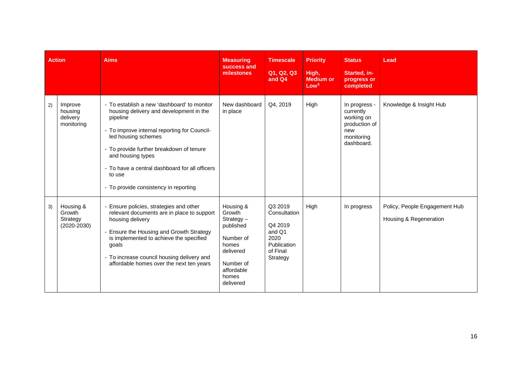| <b>Action</b> |                                                    | <b>Aims</b>                                                                                                                                                                                                                                                                                                                                     | <b>Measuring</b><br>success and<br>milestones                                                                                        | <b>Timescale</b><br>Q1, Q2, Q3<br>and Q4                                                    | <b>Priority</b><br>High,<br><b>Medium or</b><br>Low <sup>5</sup> | <b>Status</b><br>Started, in-<br>progress or<br>completed                                    | Lead                                                    |
|---------------|----------------------------------------------------|-------------------------------------------------------------------------------------------------------------------------------------------------------------------------------------------------------------------------------------------------------------------------------------------------------------------------------------------------|--------------------------------------------------------------------------------------------------------------------------------------|---------------------------------------------------------------------------------------------|------------------------------------------------------------------|----------------------------------------------------------------------------------------------|---------------------------------------------------------|
| 2)            | Improve<br>housing<br>delivery<br>monitoring       | - To establish a new 'dashboard' to monitor<br>housing delivery and development in the<br>pipeline<br>- To improve internal reporting for Council-<br>led housing schemes<br>- To provide further breakdown of tenure<br>and housing types<br>- To have a central dashboard for all officers<br>to use<br>- To provide consistency in reporting | New dashboard<br>in place                                                                                                            | Q4, 2019                                                                                    | High                                                             | In progress -<br>currently<br>working on<br>production of<br>new<br>monitoring<br>dashboard. | Knowledge & Insight Hub                                 |
| 3)            | Housing &<br>Growth<br>Strategy<br>$(2020 - 2030)$ | - Ensure policies, strategies and other<br>relevant documents are in place to support<br>housing delivery<br>- Ensure the Housing and Growth Strategy<br>is implemented to achieve the specified<br>goals<br>- To increase council housing delivery and<br>affordable homes over the next ten years                                             | Housing &<br>Growth<br>$Strategy -$<br>published<br>Number of<br>homes<br>delivered<br>Number of<br>affordable<br>homes<br>delivered | Q3 2019<br>Consultation<br>Q4 2019<br>and Q1<br>2020<br>Publication<br>of Final<br>Strategy | High                                                             | In progress                                                                                  | Policy, People Engagement Hub<br>Housing & Regeneration |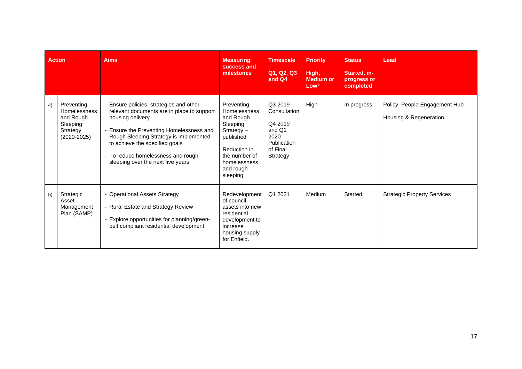| <b>Action</b> |                                                                                           | <b>Aims</b>                                                                                                                                                                                                                                                                                                  | <b>Measuring</b><br>success and<br>milestones                                                                                                              | <b>Timescale</b><br>Q1, Q2, Q3<br>and Q4                                                           | <b>Priority</b><br>High,<br><b>Medium or</b><br>Low <sup>5</sup> | <b>Status</b><br>Started, in-<br>progress or<br>completed | Lead                                                    |
|---------------|-------------------------------------------------------------------------------------------|--------------------------------------------------------------------------------------------------------------------------------------------------------------------------------------------------------------------------------------------------------------------------------------------------------------|------------------------------------------------------------------------------------------------------------------------------------------------------------|----------------------------------------------------------------------------------------------------|------------------------------------------------------------------|-----------------------------------------------------------|---------------------------------------------------------|
| 4)            | Preventing<br><b>Homelessness</b><br>and Rough<br>Sleeping<br>Strategy<br>$(2020 - 2025)$ | - Ensure policies, strategies and other<br>relevant documents are in place to support<br>housing delivery<br>- Ensure the Preventing Homelessness and<br>Rough Sleeping Strategy is implemented<br>to achieve the specified goals<br>- To reduce homelessness and rough<br>sleeping over the next five years | Preventing<br>Homelessness<br>and Rough<br>Sleeping<br>$Strategy -$<br>published<br>Reduction in<br>the number of<br>homelessness<br>and rough<br>sleeping | Q3 2019<br>Consultation<br>Q4 2019<br>and Q1<br>2020<br><b>Publication</b><br>of Final<br>Strategy | High                                                             | In progress                                               | Policy, People Engagement Hub<br>Housing & Regeneration |
| 5)            | Strategic<br>Asset<br>Management<br>Plan (SAMP)                                           | - Operational Assets Strategy<br>- Rural Estate and Strategy Review<br>- Explore opportunities for planning/green-<br>belt compliant residential development                                                                                                                                                 | Redevelopment<br>of council<br>assets into new<br>residential<br>development to<br>increase<br>housing supply<br>for Enfield.                              | Q1 2021                                                                                            | Medium                                                           | Started                                                   | <b>Strategic Property Services</b>                      |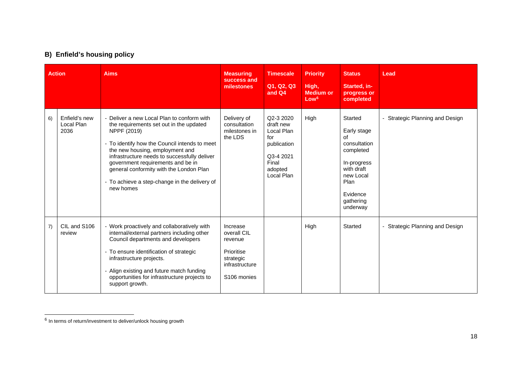# <span id="page-19-0"></span>**B) Enfield's housing policy**

|    | <b>Action</b>                       | <b>Aims</b>                                                                                                                                                                                                                                                                                                                                                                            | <b>Measuring</b><br>success and<br>milestones                                                              | <b>Timescale</b><br>Q1, Q2, Q3<br>and Q4                                                                  | <b>Priority</b><br>High,<br><b>Medium or</b><br>Low <sup>6</sup> | <b>Status</b><br>Started, in-<br>progress or<br>completed                                                                                        | Lead                            |
|----|-------------------------------------|----------------------------------------------------------------------------------------------------------------------------------------------------------------------------------------------------------------------------------------------------------------------------------------------------------------------------------------------------------------------------------------|------------------------------------------------------------------------------------------------------------|-----------------------------------------------------------------------------------------------------------|------------------------------------------------------------------|--------------------------------------------------------------------------------------------------------------------------------------------------|---------------------------------|
| 6) | Enfield's new<br>Local Plan<br>2036 | - Deliver a new Local Plan to conform with<br>the requirements set out in the updated<br>NPPF (2019)<br>- To identify how the Council intends to meet<br>the new housing, employment and<br>infrastructure needs to successfully deliver<br>government requirements and be in<br>general conformity with the London Plan<br>- To achieve a step-change in the delivery of<br>new homes | Delivery of<br>consultation<br>milestones in<br>the LDS                                                    | Q2-3 2020<br>draft new<br>Local Plan<br>for<br>publication<br>Q3-4 2021<br>Final<br>adopted<br>Local Plan | High                                                             | Started<br>Early stage<br>of<br>consultation<br>completed<br>In-progress<br>with draft<br>new Local<br>Plan<br>Evidence<br>gathering<br>underway | - Strategic Planning and Design |
| 7) | CIL and S106<br>review              | - Work proactively and collaboratively with<br>internal/external partners including other<br>Council departments and developers<br>- To ensure identification of strategic<br>infrastructure projects.<br>- Align existing and future match funding<br>opportunities for infrastructure projects to<br>support growth.                                                                 | Increase<br>overall CIL<br>revenue<br>Prioritise<br>strategic<br>infrastructure<br>S <sub>106</sub> monies |                                                                                                           | High                                                             | Started                                                                                                                                          | - Strategic Planning and Design |

 $6$  In terms of return/investment to deliver/unlock housing growth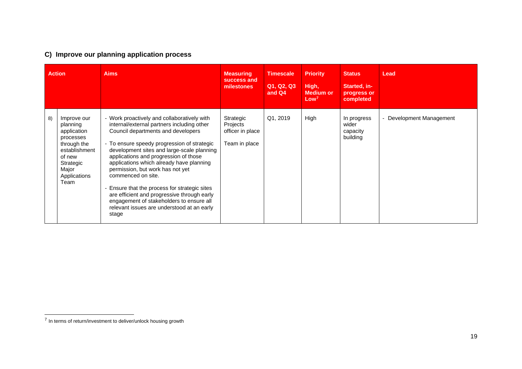# <span id="page-20-0"></span>**C) Improve our planning application process**

|    | <b>Action</b>                                                                                                                               | <b>Aims</b>                                                                                                                                                                                                                                                                                                                                                                                                                                                                                                                                                                  | <b>Measuring</b><br>success and<br>milestones              | <b>Timescale</b><br>Q1, Q2, Q3<br>and Q4 | <b>Priority</b><br>High,<br><b>Medium or</b><br>Low <sup>7</sup> | <b>Status</b><br>Started, in-<br>progress or<br>completed | Lead                   |
|----|---------------------------------------------------------------------------------------------------------------------------------------------|------------------------------------------------------------------------------------------------------------------------------------------------------------------------------------------------------------------------------------------------------------------------------------------------------------------------------------------------------------------------------------------------------------------------------------------------------------------------------------------------------------------------------------------------------------------------------|------------------------------------------------------------|------------------------------------------|------------------------------------------------------------------|-----------------------------------------------------------|------------------------|
| 8) | Improve our<br>planning<br>application<br>processes<br>through the<br>establishment<br>of new<br>Strategic<br>Major<br>Applications<br>Team | - Work proactively and collaboratively with<br>internal/external partners including other<br>Council departments and developers<br>- To ensure speedy progression of strategic<br>development sites and large-scale planning<br>applications and progression of those<br>applications which already have planning<br>permission, but work has not yet<br>commenced on site.<br>Ensure that the process for strategic sites<br>are efficient and progressive through early<br>engagement of stakeholders to ensure all<br>relevant issues are understood at an early<br>stage | Strategic<br>Projects<br>officer in place<br>Team in place | Q1, 2019                                 | High                                                             | In progress<br>wider<br>capacity<br>building              | Development Management |

<sup>7</sup> In terms of return/investment to deliver/unlock housing growth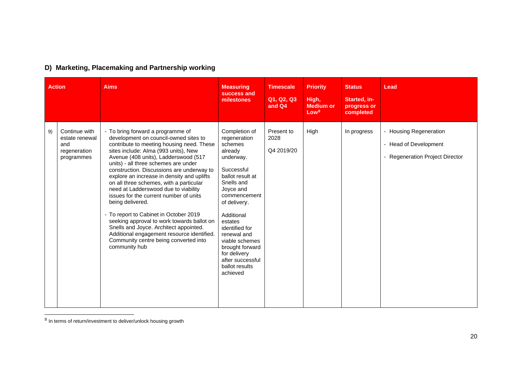|    | <b>Action</b>                                                        | <b>Aims</b>                                                                                                                                                                                                                                                                                                                                                                                                                                                                                                                                                                                                                                                                                                                           | <b>Measuring</b><br>success and<br>milestones                                                                                                                                                                                                                                                                                  | <b>Timescale</b><br>Q1, Q2, Q3<br>and Q4 | <b>Priority</b><br>High,<br><b>Medium or</b><br>Low <sup>8</sup> | <b>Status</b><br>Started, in-<br>progress or<br>completed | Lead                                                                               |
|----|----------------------------------------------------------------------|---------------------------------------------------------------------------------------------------------------------------------------------------------------------------------------------------------------------------------------------------------------------------------------------------------------------------------------------------------------------------------------------------------------------------------------------------------------------------------------------------------------------------------------------------------------------------------------------------------------------------------------------------------------------------------------------------------------------------------------|--------------------------------------------------------------------------------------------------------------------------------------------------------------------------------------------------------------------------------------------------------------------------------------------------------------------------------|------------------------------------------|------------------------------------------------------------------|-----------------------------------------------------------|------------------------------------------------------------------------------------|
| 9) | Continue with<br>estate renewal<br>and<br>regeneration<br>programmes | - To bring forward a programme of<br>development on council-owned sites to<br>contribute to meeting housing need. These<br>sites include: Alma (993 units), New<br>Avenue (408 units), Ladderswood (517<br>units) - all three schemes are under<br>construction. Discussions are underway to<br>explore an increase in density and uplifts<br>on all three schemes, with a particular<br>need at Ladderswood due to viability<br>issues for the current number of units<br>being delivered.<br>- To report to Cabinet in October 2019<br>seeking approval to work towards ballot on<br>Snells and Joyce. Architect appointed.<br>Additional engagement resource identified.<br>Community centre being converted into<br>community hub | Completion of<br>regeneration<br>schemes<br>already<br>underway.<br>Successful<br>ballot result at<br>Snells and<br>Joyce and<br>commencement<br>of delivery.<br>Additional<br>estates<br>identified for<br>renewal and<br>viable schemes<br>brought forward<br>for delivery<br>after successful<br>ballot results<br>achieved | Present to<br>2028<br>Q4 2019/20         | High                                                             | In progress                                               | - Housing Regeneration<br>- Head of Development<br>- Regeneration Project Director |

# <span id="page-21-0"></span>**D) Marketing, Placemaking and Partnership working**

 $8$  In terms of return/investment to deliver/unlock housing growth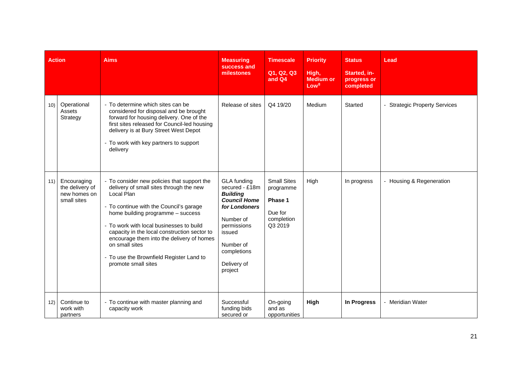|     | <b>Action</b>                                                 | <b>Aims</b>                                                                                                                                                                                                                                                                                                                                                                                                      | <b>Measuring</b><br>success and<br>milestones                                                                                                                                        | <b>Timescale</b><br>Q1, Q2, Q3<br>and Q4                                       | <b>Priority</b><br>High,<br><b>Medium or</b><br>Low <sup>8</sup> | <b>Status</b><br>Started, in-<br>progress or<br>completed | Lead                          |
|-----|---------------------------------------------------------------|------------------------------------------------------------------------------------------------------------------------------------------------------------------------------------------------------------------------------------------------------------------------------------------------------------------------------------------------------------------------------------------------------------------|--------------------------------------------------------------------------------------------------------------------------------------------------------------------------------------|--------------------------------------------------------------------------------|------------------------------------------------------------------|-----------------------------------------------------------|-------------------------------|
| 10) | Operational<br>Assets<br>Strategy                             | - To determine which sites can be<br>considered for disposal and be brought<br>forward for housing delivery. One of the<br>first sites released for Council-led housing<br>delivery is at Bury Street West Depot<br>- To work with key partners to support<br>delivery                                                                                                                                           | Release of sites                                                                                                                                                                     | Q4 19/20                                                                       | Medium                                                           | Started                                                   | - Strategic Property Services |
| 11) | Encouraging<br>the delivery of<br>new homes on<br>small sites | - To consider new policies that support the<br>delivery of small sites through the new<br>Local Plan<br>- To continue with the Council's garage<br>home building programme - success<br>- To work with local businesses to build<br>capacity in the local construction sector to<br>encourage them into the delivery of homes<br>on small sites<br>To use the Brownfield Register Land to<br>promote small sites | GLA funding<br>secured - £18m<br><b>Building</b><br><b>Council Home</b><br>for Londoners<br>Number of<br>permissions<br>issued<br>Number of<br>completions<br>Delivery of<br>project | <b>Small Sites</b><br>programme<br>Phase 1<br>Due for<br>completion<br>Q3 2019 | High                                                             | In progress                                               | - Housing & Regeneration      |
| 12) | Continue to<br>work with<br>partners                          | - To continue with master planning and<br>capacity work                                                                                                                                                                                                                                                                                                                                                          | Successful<br>funding bids<br>secured or                                                                                                                                             | On-going<br>and as<br>opportunities                                            | High                                                             | <b>In Progress</b>                                        | - Meridian Water              |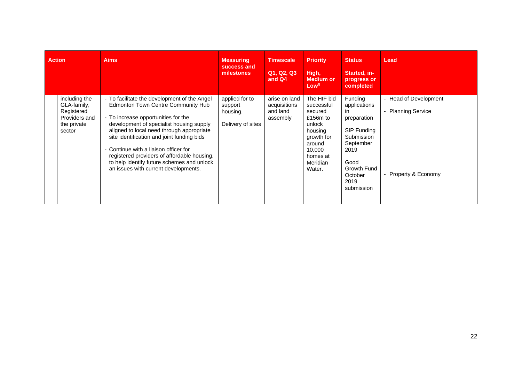| <b>Action</b> |                                                                                      | <b>Aims</b>                                                                                                                                                                                                                                                                                                                                                                                                                                         | <b>Measuring</b><br>success and<br>milestones              | <b>Timescale</b><br>Q1, Q2, Q3<br>and Q4              | <b>Priority</b><br>High,<br>Medium or<br>Low <sup>8</sup>                                                                                           | <b>Status</b><br>Started, in-<br>progress or<br>completed                                                                                               | Lead                                                                |
|---------------|--------------------------------------------------------------------------------------|-----------------------------------------------------------------------------------------------------------------------------------------------------------------------------------------------------------------------------------------------------------------------------------------------------------------------------------------------------------------------------------------------------------------------------------------------------|------------------------------------------------------------|-------------------------------------------------------|-----------------------------------------------------------------------------------------------------------------------------------------------------|---------------------------------------------------------------------------------------------------------------------------------------------------------|---------------------------------------------------------------------|
|               | including the<br>GLA-family,<br>Registered<br>Providers and<br>the private<br>sector | - To facilitate the development of the Angel<br><b>Edmonton Town Centre Community Hub</b><br>- To increase opportunities for the<br>development of specialist housing supply<br>aligned to local need through appropriate<br>site identification and joint funding bids<br>Continue with a liaison officer for<br>registered providers of affordable housing,<br>to help identify future schemes and unlock<br>an issues with current developments. | applied for to<br>support<br>housing.<br>Delivery of sites | arise on land<br>acquisitions<br>and land<br>assembly | The HIF bid<br>successful<br>secured<br>£156 $m$ to<br>unlock<br>housing<br>growth for<br>around<br>10.000<br>homes at<br><b>Meridian</b><br>Water. | Funding<br>applications<br>in.<br>preparation<br>SIP Funding<br>Submission<br>September<br>2019<br>Good<br>Growth Fund<br>October<br>2019<br>submission | - Head of Development<br>- Planning Service<br>- Property & Economy |